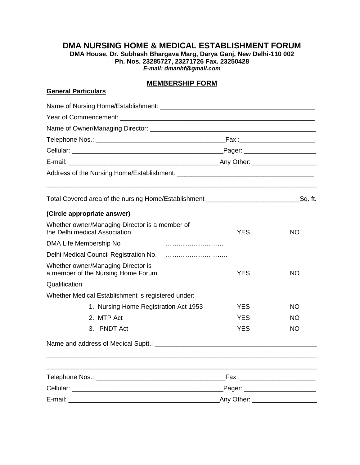## **DMA NURSING HOME & MEDICAL ESTABLISHMENT FORUM**

**DMA House, Dr. Subhash Bhargava Marg, Darya Ganj, New Delhi-110 002 Ph. Nos. 23285727, 23271726 Fax. 23250428** *E-mail: dmanhf@gmail.com*

## **MEMBERSHIP FORM**

#### **General Particulars**

| Total Covered area of the nursing Home/Establishment ________________________________Sq. ft. |                                    |           |  |  |  |
|----------------------------------------------------------------------------------------------|------------------------------------|-----------|--|--|--|
| (Circle appropriate answer)                                                                  |                                    |           |  |  |  |
| Whether owner/Managing Director is a member of<br>the Delhi medical Association              | <b>YES</b>                         | <b>NO</b> |  |  |  |
| DMA Life Membership No                                                                       |                                    |           |  |  |  |
|                                                                                              |                                    |           |  |  |  |
| Whether owner/Managing Director is<br>a member of the Nursing Home Forum                     | <b>YES</b>                         | <b>NO</b> |  |  |  |
| Qualification                                                                                |                                    |           |  |  |  |
| Whether Medical Establishment is registered under:                                           |                                    |           |  |  |  |
| 1. Nursing Home Registration Act 1953                                                        | <b>YES</b>                         | <b>NO</b> |  |  |  |
| 2. MTP Act                                                                                   | YES.                               | NO.       |  |  |  |
| 3. PNDT Act                                                                                  | <b>YES</b>                         | NO.       |  |  |  |
|                                                                                              |                                    |           |  |  |  |
|                                                                                              |                                    |           |  |  |  |
|                                                                                              | _Fax :____________________________ |           |  |  |  |
|                                                                                              |                                    |           |  |  |  |
|                                                                                              |                                    |           |  |  |  |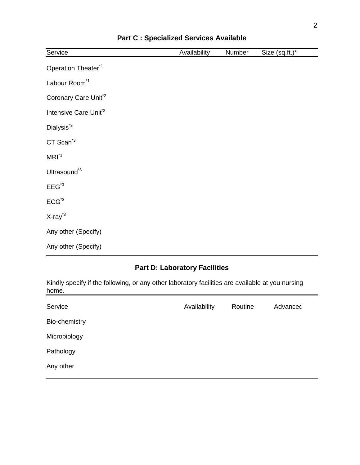| Service                           | Availability | Number | Size (sq.ft.)* |
|-----------------------------------|--------------|--------|----------------|
| Operation Theater <sup>*1</sup>   |              |        |                |
| Labour Room <sup>*1</sup>         |              |        |                |
| Coronary Care Unit <sup>*2</sup>  |              |        |                |
| Intensive Care Unit <sup>*2</sup> |              |        |                |
| Dialysis <sup>*3</sup>            |              |        |                |
| CT Scan <sup>*3</sup>             |              |        |                |
| $MRI^*$                           |              |        |                |
| Ultrasound <sup>*3</sup>          |              |        |                |
| $EEG^{\text{A}}$                  |              |        |                |
| $ECG^{\text{A}}$                  |              |        |                |
| $X-ray^{3}$                       |              |        |                |
| Any other (Specify)               |              |        |                |
| Any other (Specify)               |              |        |                |

### **Part C : Specialized Services Available**

# **Part D: Laboratory Facilities**

Kindly specify if the following, or any other laboratory facilities are available at you nursing home.

| Service       | Availability | Routine | Advanced |
|---------------|--------------|---------|----------|
| Bio-chemistry |              |         |          |
| Microbiology  |              |         |          |
| Pathology     |              |         |          |
| Any other     |              |         |          |